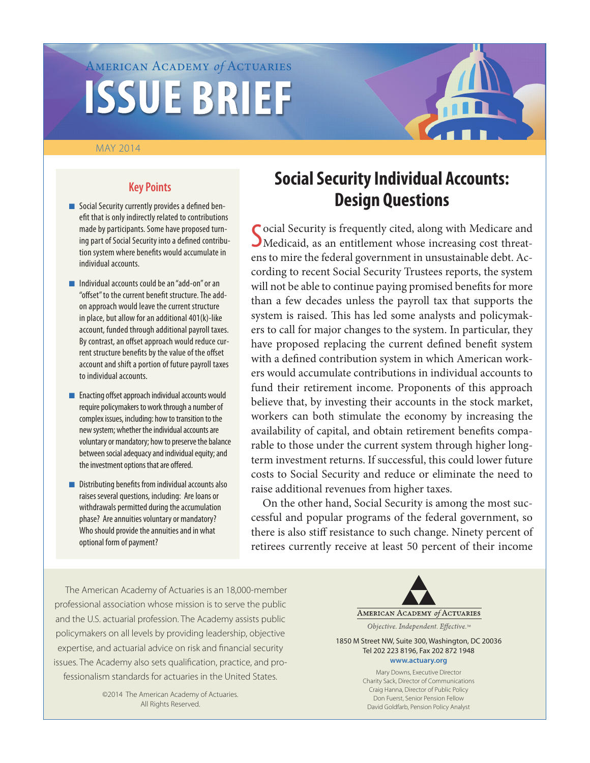# American Academy *of* Actuaries **ISSUE BRIEF**

#### May 2014



# **Key Points**

- Social Security currently provides a defined benefit that is only indirectly related to contributions made by participants. Some have proposed turning part of Social Security into a defined contribution system where benefits would accumulate in individual accounts.
- $\blacksquare$  Individual accounts could be an "add-on" or an "offset" to the current benefit structure. The addon approach would leave the current structure in place, but allow for an additional 401(k)-like account, funded through additional payroll taxes. By contrast, an offset approach would reduce current structure benefits by the value of the offset account and shift a portion of future payroll taxes to individual accounts.
- **n** Enacting offset approach individual accounts would require policymakers to work through a number of complex issues, including: how to transition to the new system; whether the individual accounts are voluntary or mandatory; how to preserve the balance between social adequacy and individual equity; and the investment options that are offered.
- $\blacksquare$  Distributing benefits from individual accounts also raises several questions, including: Are loans or withdrawals permitted during the accumulation phase? Are annuities voluntary or mandatory? Who should provide the annuities and in what optional form of payment?

# **Social Security Individual Accounts: Design Questions**

Social Security is frequently cited, along with Medicare and Medicaid, as an entitlement whose increasing cost threat-Medicaid, as an entitlement whose increasing cost threatens to mire the federal government in unsustainable debt. According to recent Social Security Trustees reports, the system will not be able to continue paying promised benefits for more than a few decades unless the payroll tax that supports the system is raised. This has led some analysts and policymakers to call for major changes to the system. In particular, they have proposed replacing the current defined benefit system with a defined contribution system in which American workers would accumulate contributions in individual accounts to fund their retirement income. Proponents of this approach believe that, by investing their accounts in the stock market, workers can both stimulate the economy by increasing the availability of capital, and obtain retirement benefits comparable to those under the current system through higher longterm investment returns. If successful, this could lower future costs to Social Security and reduce or eliminate the need to raise additional revenues from higher taxes.

On the other hand, Social Security is among the most successful and popular programs of the federal government, so there is also stiff resistance to such change. Ninety percent of retirees currently receive at least 50 percent of their income

The American Academy of Actuaries is an 18,000-member professional association whose mission is to serve the public and the U.S. actuarial profession. The Academy assists public policymakers on all levels by providing leadership, objective expertise, and actuarial advice on risk and financial security issues. The Academy also sets qualification, practice, and professionalism standards for actuaries in the United States.

> ©2014 The American Academy of Actuaries. All Rights Reserved.



1850 M Street NW, Suite 300, Washington, DC 20036 Tel 202 223 8196, Fax 202 872 1948 **www.actuary.org**

> Mary Downs, Executive Director Charity Sack, Director of Communications Craig Hanna, Director of Public Policy Don Fuerst, Senior Pension Fellow David Goldfarb, Pension Policy Analyst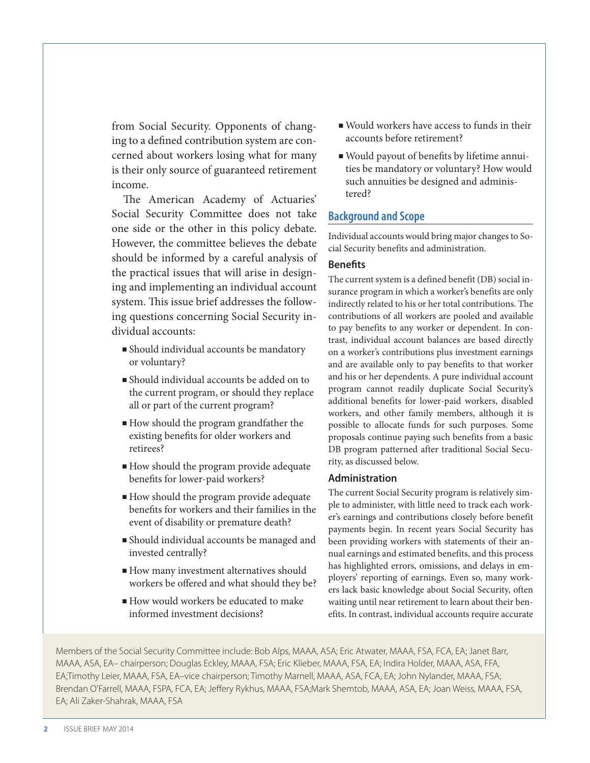from Social Security. Opponents of changing to a defined contribution system are concerned about workers losing what for many is their only source of guaranteed retirement income.

The American Academy of Actuaries' Social Security Committee does not take one side or the other in this policy debate. However, the committee believes the debate should be informed by a careful analysis of the practical issues that will arise in designing and implementing an individual account system. This issue brief addresses the following questions concerning Social Security individual accounts:

- <sup>n</sup>Should individual accounts be mandatory or voluntary?
- <sup>n</sup>Should individual accounts be added on to the current program, or should they replace all or part of the current program?
- $\blacksquare$  How should the program grandfather the existing benefits for older workers and retirees?
- <sup>n</sup>How should the program provide adequate benefits for lower-paid workers?
- $\blacksquare$  How should the program provide adequate benefits for workers and their families in the event of disability or premature death?
- <sup>n</sup>Should individual accounts be managed and invested centrally?
- $\blacksquare$  How many investment alternatives should workers be offered and what should they be?
- $\blacksquare$  How would workers be educated to make informed investment decisions?
- <sup>n</sup>Would workers have access to funds in their accounts before retirement?
- Would payout of benefits by lifetime annuities be mandatory or voluntary? How would such annuities be designed and administered?

# **Background and Scope**

Individual accounts would bring major changes to Social Security benefits and administration.

# **Benefits**

The current system is a defined benefit (DB) social insurance program in which a worker's benefits are only indirectly related to his or her total contributions. The contributions of all workers are pooled and available to pay benefits to any worker or dependent. In contrast, individual account balances are based directly on a worker's contributions plus investment earnings and are available only to pay benefits to that worker and his or her dependents. A pure individual account program cannot readily duplicate Social Security's additional benefits for lower-paid workers, disabled workers, and other family members, although it is possible to allocate funds for such purposes. Some proposals continue paying such benefits from a basic DB program patterned after traditional Social Security, as discussed below.

#### **Administration**

The current Social Security program is relatively simple to administer, with little need to track each worker's earnings and contributions closely before benefit payments begin. In recent years Social Security has been providing workers with statements of their annual earnings and estimated benefits, and this process has highlighted errors, omissions, and delays in employers' reporting of earnings. Even so, many workers lack basic knowledge about Social Security, often waiting until near retirement to learn about their benefits. In contrast, individual accounts require accurate

Members of the Social Security Committee include: Bob Alps, MAAA, ASA; Eric Atwater, MAAA, FSA, FCA, EA; Janet Barr, MAAA, ASA, EA– chairperson; Douglas Eckley, MAAA, FSA; Eric Klieber, MAAA, FSA, EA; Indira Holder, MAAA, ASA, FFA, EA;Timothy Leier, MAAA, FSA, EA–vice chairperson; Timothy Marnell, MAAA, ASA, FCA, EA; John Nylander, MAAA, FSA; Brendan O'Farrell, MAAA, FSPA, FCA, EA; Jeffery Rykhus, MAAA, FSA;Mark Shemtob, MAAA, ASA, EA; Joan Weiss, MAAA, FSA, EA; Ali Zaker-Shahrak, MAAA, FSA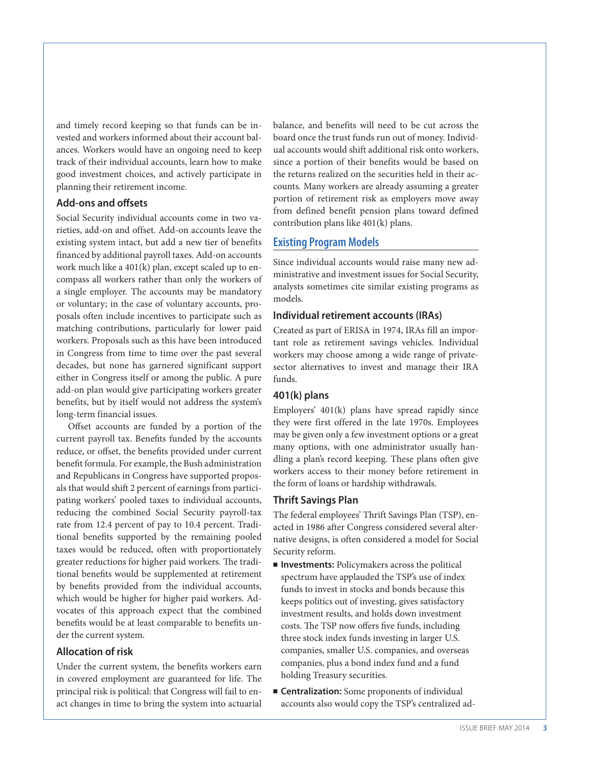and timely record keeping so that funds can be invested and workers informed about their account balances. Workers would have an ongoing need to keep track of their individual accounts, learn how to make good investment choices, and actively participate in planning their retirement income.

#### **Add-ons and offsets**

Social Security individual accounts come in two varieties, add-on and offset. Add-on accounts leave the existing system intact, but add a new tier of benefits financed by additional payroll taxes. Add-on accounts work much like a 401(k) plan, except scaled up to encompass all workers rather than only the workers of a single employer. The accounts may be mandatory or voluntary; in the case of voluntary accounts, proposals often include incentives to participate such as matching contributions, particularly for lower paid workers. Proposals such as this have been introduced in Congress from time to time over the past several decades, but none has garnered significant support either in Congress itself or among the public. A pure add-on plan would give participating workers greater benefits, but by itself would not address the system's long-term financial issues.

Offset accounts are funded by a portion of the current payroll tax. Benefits funded by the accounts reduce, or offset, the benefits provided under current benefit formula. For example, the Bush administration and Republicans in Congress have supported proposals that would shift 2 percent of earnings from participating workers' pooled taxes to individual accounts, reducing the combined Social Security payroll-tax rate from 12.4 percent of pay to 10.4 percent. Traditional benefits supported by the remaining pooled taxes would be reduced, often with proportionately greater reductions for higher paid workers. The traditional benefits would be supplemented at retirement by benefits provided from the individual accounts, which would be higher for higher paid workers. Advocates of this approach expect that the combined benefits would be at least comparable to benefits under the current system.

#### **Allocation of risk**

Under the current system, the benefits workers earn in covered employment are guaranteed for life. The principal risk is political: that Congress will fail to enact changes in time to bring the system into actuarial

balance, and benefits will need to be cut across the board once the trust funds run out of money. Individual accounts would shift additional risk onto workers, since a portion of their benefits would be based on the returns realized on the securities held in their accounts. Many workers are already assuming a greater portion of retirement risk as employers move away from defined benefit pension plans toward defined contribution plans like 401(k) plans.

#### **Existing Program Models**

Since individual accounts would raise many new administrative and investment issues for Social Security, analysts sometimes cite similar existing programs as models.

#### **Individual retirement accounts (IRAs)**

Created as part of ERISA in 1974, IRAs fill an important role as retirement savings vehicles. Individual workers may choose among a wide range of privatesector alternatives to invest and manage their IRA funds.

#### **401(k) plans**

Employers' 401(k) plans have spread rapidly since they were first offered in the late 1970s. Employees may be given only a few investment options or a great many options, with one administrator usually handling a plan's record keeping. These plans often give workers access to their money before retirement in the form of loans or hardship withdrawals.

#### **Thrift Savings Plan**

The federal employees' Thrift Savings Plan (TSP), enacted in 1986 after Congress considered several alternative designs, is often considered a model for Social Security reform.

- **n** Investments: Policymakers across the political spectrum have applauded the TSP's use of index funds to invest in stocks and bonds because this keeps politics out of investing, gives satisfactory investment results, and holds down investment costs. The TSP now offers five funds, including three stock index funds investing in larger U.S. companies, smaller U.S. companies, and overseas companies, plus a bond index fund and a fund holding Treasury securities.
- **Centralization:** Some proponents of individual accounts also would copy the TSP's centralized ad-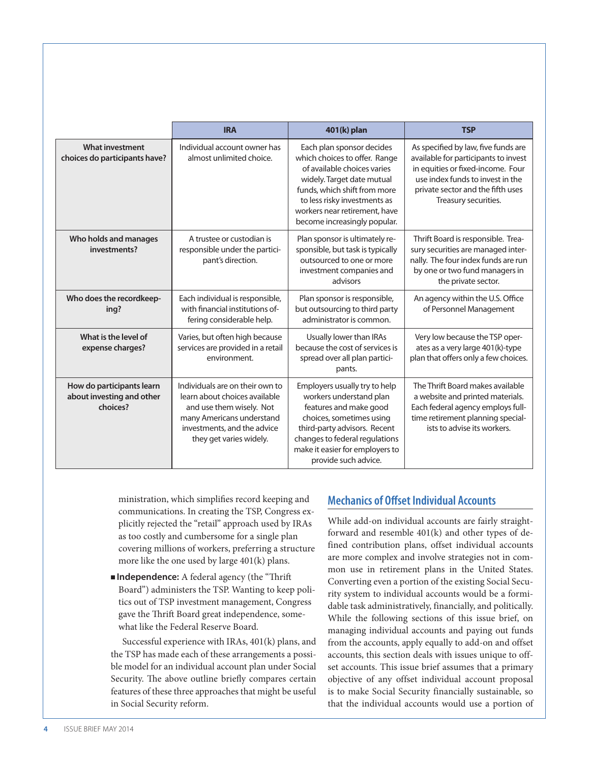|                                                                    | <b>IRA</b>                                                                                                                                                                          | 401(k) plan                                                                                                                                                                                                                                              | <b>TSP</b>                                                                                                                                                                                                        |
|--------------------------------------------------------------------|-------------------------------------------------------------------------------------------------------------------------------------------------------------------------------------|----------------------------------------------------------------------------------------------------------------------------------------------------------------------------------------------------------------------------------------------------------|-------------------------------------------------------------------------------------------------------------------------------------------------------------------------------------------------------------------|
| <b>What investment</b><br>choices do participants have?            | Individual account owner has<br>almost unlimited choice.                                                                                                                            | Each plan sponsor decides<br>which choices to offer. Range<br>of available choices varies<br>widely. Target date mutual<br>funds, which shift from more<br>to less risky investments as<br>workers near retirement, have<br>become increasingly popular. | As specified by law, five funds are<br>available for participants to invest<br>in equities or fixed-income. Four<br>use index funds to invest in the<br>private sector and the fifth uses<br>Treasury securities. |
| Who holds and manages<br>investments?                              | A trustee or custodian is<br>responsible under the partici-<br>pant's direction.                                                                                                    | Plan sponsor is ultimately re-<br>sponsible, but task is typically<br>outsourced to one or more<br>investment companies and<br>advisors                                                                                                                  | Thrift Board is responsible. Trea-<br>sury securities are managed inter-<br>nally. The four index funds are run<br>by one or two fund managers in<br>the private sector.                                          |
| Who does the recordkeep-<br>ing?                                   | Each individual is responsible,<br>with financial institutions of-<br>fering considerable help.                                                                                     | Plan sponsor is responsible,<br>but outsourcing to third party<br>administrator is common.                                                                                                                                                               | An agency within the U.S. Office<br>of Personnel Management                                                                                                                                                       |
| What is the level of<br>expense charges?                           | Varies, but often high because<br>services are provided in a retail<br>environment.                                                                                                 | Usually lower than IRAs<br>because the cost of services is<br>spread over all plan partici-<br>pants.                                                                                                                                                    | Very low because the TSP oper-<br>ates as a very large 401(k)-type<br>plan that offers only a few choices.                                                                                                        |
| How do participants learn<br>about investing and other<br>choices? | Individuals are on their own to<br>learn about choices available<br>and use them wisely. Not<br>many Americans understand<br>investments, and the advice<br>they get varies widely. | Employers usually try to help<br>workers understand plan<br>features and make good<br>choices, sometimes using<br>third-party advisors. Recent<br>changes to federal regulations<br>make it easier for employers to<br>provide such advice.              | The Thrift Board makes available<br>a website and printed materials.<br>Each federal agency employs full-<br>time retirement planning special-<br>ists to advise its workers.                                     |

ministration, which simplifies record keeping and communications. In creating the TSP, Congress explicitly rejected the "retail" approach used by IRAs as too costly and cumbersome for a single plan covering millions of workers, preferring a structure more like the one used by large 401(k) plans.

■ **Independence:** A federal agency (the "Thrift Board") administers the TSP. Wanting to keep politics out of TSP investment management, Congress gave the Thrift Board great independence, somewhat like the Federal Reserve Board.

Successful experience with IRAs, 401(k) plans, and the TSP has made each of these arrangements a possible model for an individual account plan under Social Security. The above outline briefly compares certain features of these three approaches that might be useful in Social Security reform.

# **Mechanics of Offset Individual Accounts**

While add-on individual accounts are fairly straightforward and resemble 401(k) and other types of defined contribution plans, offset individual accounts are more complex and involve strategies not in common use in retirement plans in the United States. Converting even a portion of the existing Social Security system to individual accounts would be a formidable task administratively, financially, and politically. While the following sections of this issue brief, on managing individual accounts and paying out funds from the accounts, apply equally to add-on and offset accounts, this section deals with issues unique to offset accounts. This issue brief assumes that a primary objective of any offset individual account proposal is to make Social Security financially sustainable, so that the individual accounts would use a portion of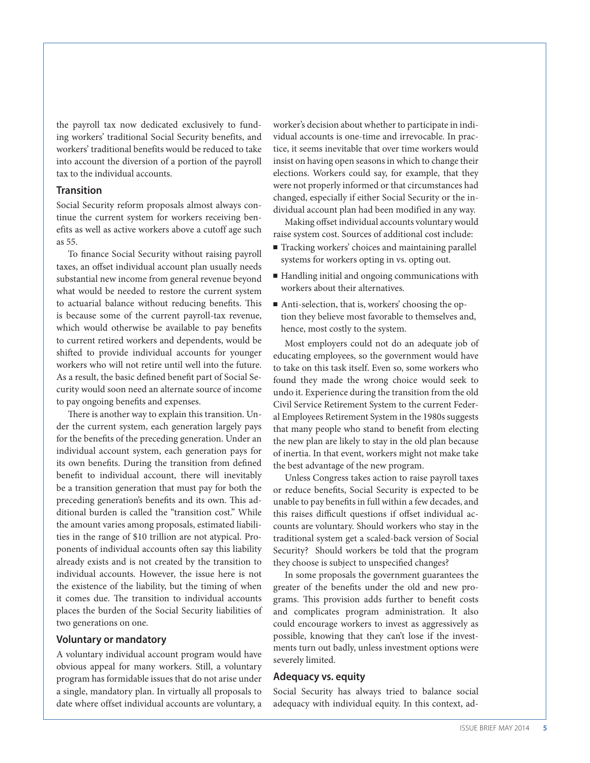the payroll tax now dedicated exclusively to funding workers' traditional Social Security benefits, and workers' traditional benefits would be reduced to take into account the diversion of a portion of the payroll tax to the individual accounts.

#### **Transition**

Social Security reform proposals almost always continue the current system for workers receiving benefits as well as active workers above a cutoff age such as 55.

To finance Social Security without raising payroll taxes, an offset individual account plan usually needs substantial new income from general revenue beyond what would be needed to restore the current system to actuarial balance without reducing benefits. This is because some of the current payroll-tax revenue, which would otherwise be available to pay benefits to current retired workers and dependents, would be shifted to provide individual accounts for younger workers who will not retire until well into the future. As a result, the basic defined benefit part of Social Security would soon need an alternate source of income to pay ongoing benefits and expenses.

There is another way to explain this transition. Under the current system, each generation largely pays for the benefits of the preceding generation. Under an individual account system, each generation pays for its own benefits. During the transition from defined benefit to individual account, there will inevitably be a transition generation that must pay for both the preceding generation's benefits and its own. This additional burden is called the "transition cost." While the amount varies among proposals, estimated liabilities in the range of \$10 trillion are not atypical. Proponents of individual accounts often say this liability already exists and is not created by the transition to individual accounts. However, the issue here is not the existence of the liability, but the timing of when it comes due. The transition to individual accounts places the burden of the Social Security liabilities of two generations on one.

#### **Voluntary or mandatory**

A voluntary individual account program would have obvious appeal for many workers. Still, a voluntary program has formidable issues that do not arise under a single, mandatory plan. In virtually all proposals to date where offset individual accounts are voluntary, a

worker's decision about whether to participate in individual accounts is one-time and irrevocable. In practice, it seems inevitable that over time workers would insist on having open seasons in which to change their elections. Workers could say, for example, that they were not properly informed or that circumstances had changed, especially if either Social Security or the individual account plan had been modified in any way.

Making offset individual accounts voluntary would raise system cost. Sources of additional cost include:

- Tracking workers' choices and maintaining parallel systems for workers opting in vs. opting out.
- Handling initial and ongoing communications with workers about their alternatives.
- Anti-selection, that is, workers' choosing the option they believe most favorable to themselves and, hence, most costly to the system.

Most employers could not do an adequate job of educating employees, so the government would have to take on this task itself. Even so, some workers who found they made the wrong choice would seek to undo it. Experience during the transition from the old Civil Service Retirement System to the current Federal Employees Retirement System in the 1980s suggests that many people who stand to benefit from electing the new plan are likely to stay in the old plan because of inertia. In that event, workers might not make take the best advantage of the new program.

Unless Congress takes action to raise payroll taxes or reduce benefits, Social Security is expected to be unable to pay benefits in full within a few decades, and this raises difficult questions if offset individual accounts are voluntary. Should workers who stay in the traditional system get a scaled-back version of Social Security? Should workers be told that the program they choose is subject to unspecified changes?

In some proposals the government guarantees the greater of the benefits under the old and new programs. This provision adds further to benefit costs and complicates program administration. It also could encourage workers to invest as aggressively as possible, knowing that they can't lose if the investments turn out badly, unless investment options were severely limited.

#### **Adequacy vs. equity**

Social Security has always tried to balance social adequacy with individual equity. In this context, ad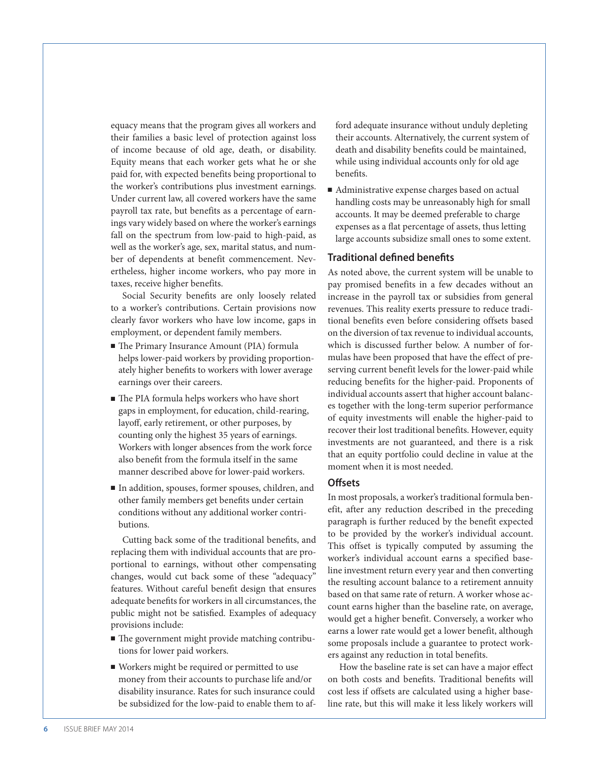equacy means that the program gives all workers and their families a basic level of protection against loss of income because of old age, death, or disability. Equity means that each worker gets what he or she paid for, with expected benefits being proportional to the worker's contributions plus investment earnings. Under current law, all covered workers have the same payroll tax rate, but benefits as a percentage of earnings vary widely based on where the worker's earnings fall on the spectrum from low-paid to high-paid, as well as the worker's age, sex, marital status, and number of dependents at benefit commencement. Nevertheless, higher income workers, who pay more in taxes, receive higher benefits.

Social Security benefits are only loosely related to a worker's contributions. Certain provisions now clearly favor workers who have low income, gaps in employment, or dependent family members.

- The Primary Insurance Amount (PIA) formula helps lower-paid workers by providing proportionately higher benefits to workers with lower average earnings over their careers.
- $\blacksquare$  The PIA formula helps workers who have short gaps in employment, for education, child-rearing, layoff, early retirement, or other purposes, by counting only the highest 35 years of earnings. Workers with longer absences from the work force also benefit from the formula itself in the same manner described above for lower-paid workers.
- <sup>n</sup> In addition, spouses, former spouses, children, and other family members get benefits under certain conditions without any additional worker contributions.

Cutting back some of the traditional benefits, and replacing them with individual accounts that are proportional to earnings, without other compensating changes, would cut back some of these "adequacy" features. Without careful benefit design that ensures adequate benefits for workers in all circumstances, the public might not be satisfied. Examples of adequacy provisions include:

- $\blacksquare$  The government might provide matching contributions for lower paid workers.
- <sup>n</sup> Workers might be required or permitted to use money from their accounts to purchase life and/or disability insurance. Rates for such insurance could be subsidized for the low-paid to enable them to af-

ford adequate insurance without unduly depleting their accounts. Alternatively, the current system of death and disability benefits could be maintained, while using individual accounts only for old age benefits.

■ Administrative expense charges based on actual handling costs may be unreasonably high for small accounts. It may be deemed preferable to charge expenses as a flat percentage of assets, thus letting large accounts subsidize small ones to some extent.

#### **Traditional defined benefits**

As noted above, the current system will be unable to pay promised benefits in a few decades without an increase in the payroll tax or subsidies from general revenues. This reality exerts pressure to reduce traditional benefits even before considering offsets based on the diversion of tax revenue to individual accounts, which is discussed further below. A number of formulas have been proposed that have the effect of preserving current benefit levels for the lower-paid while reducing benefits for the higher-paid. Proponents of individual accounts assert that higher account balances together with the long-term superior performance of equity investments will enable the higher-paid to recover their lost traditional benefits. However, equity investments are not guaranteed, and there is a risk that an equity portfolio could decline in value at the moment when it is most needed.

#### **Offsets**

In most proposals, a worker's traditional formula benefit, after any reduction described in the preceding paragraph is further reduced by the benefit expected to be provided by the worker's individual account. This offset is typically computed by assuming the worker's individual account earns a specified baseline investment return every year and then converting the resulting account balance to a retirement annuity based on that same rate of return. A worker whose account earns higher than the baseline rate, on average, would get a higher benefit. Conversely, a worker who earns a lower rate would get a lower benefit, although some proposals include a guarantee to protect workers against any reduction in total benefits.

How the baseline rate is set can have a major effect on both costs and benefits. Traditional benefits will cost less if offsets are calculated using a higher baseline rate, but this will make it less likely workers will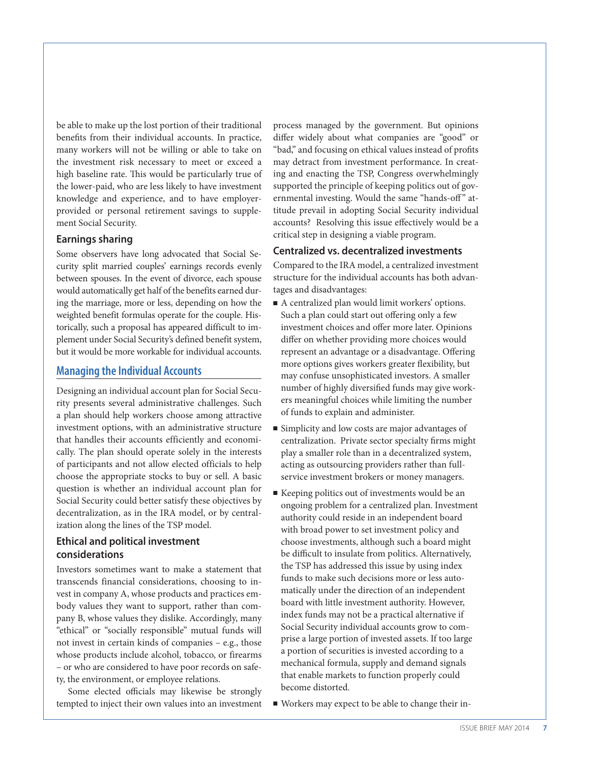be able to make up the lost portion of their traditional benefits from their individual accounts. In practice, many workers will not be willing or able to take on the investment risk necessary to meet or exceed a high baseline rate. This would be particularly true of the lower-paid, who are less likely to have investment knowledge and experience, and to have employerprovided or personal retirement savings to supplement Social Security.

#### **Earnings sharing**

Some observers have long advocated that Social Security split married couples' earnings records evenly between spouses. In the event of divorce, each spouse would automatically get half of the benefits earned during the marriage, more or less, depending on how the weighted benefit formulas operate for the couple. Historically, such a proposal has appeared difficult to implement under Social Security's defined benefit system, but it would be more workable for individual accounts.

#### **Managing the Individual Accounts**

Designing an individual account plan for Social Security presents several administrative challenges. Such a plan should help workers choose among attractive investment options, with an administrative structure that handles their accounts efficiently and economically. The plan should operate solely in the interests of participants and not allow elected officials to help choose the appropriate stocks to buy or sell. A basic question is whether an individual account plan for Social Security could better satisfy these objectives by decentralization, as in the IRA model, or by centralization along the lines of the TSP model.

# **Ethical and political investment considerations**

Investors sometimes want to make a statement that transcends financial considerations, choosing to invest in company A, whose products and practices embody values they want to support, rather than company B, whose values they dislike. Accordingly, many "ethical" or "socially responsible" mutual funds will not invest in certain kinds of companies – e.g., those whose products include alcohol, tobacco, or firearms – or who are considered to have poor records on safety, the environment, or employee relations.

Some elected officials may likewise be strongly tempted to inject their own values into an investment process managed by the government. But opinions differ widely about what companies are "good" or "bad," and focusing on ethical values instead of profits may detract from investment performance. In creating and enacting the TSP, Congress overwhelmingly supported the principle of keeping politics out of governmental investing. Would the same "hands-off" attitude prevail in adopting Social Security individual accounts? Resolving this issue effectively would be a critical step in designing a viable program.

#### **Centralized vs. decentralized investments**

Compared to the IRA model, a centralized investment structure for the individual accounts has both advantages and disadvantages:

- A centralized plan would limit workers' options. Such a plan could start out offering only a few investment choices and offer more later. Opinions differ on whether providing more choices would represent an advantage or a disadvantage. Offering more options gives workers greater flexibility, but may confuse unsophisticated investors. A smaller number of highly diversified funds may give workers meaningful choices while limiting the number of funds to explain and administer.
- Simplicity and low costs are major advantages of centralization. Private sector specialty firms might play a smaller role than in a decentralized system, acting as outsourcing providers rather than fullservice investment brokers or money managers.
- Keeping politics out of investments would be an ongoing problem for a centralized plan. Investment authority could reside in an independent board with broad power to set investment policy and choose investments, although such a board might be difficult to insulate from politics. Alternatively, the TSP has addressed this issue by using index funds to make such decisions more or less automatically under the direction of an independent board with little investment authority. However, index funds may not be a practical alternative if Social Security individual accounts grow to comprise a large portion of invested assets. If too large a portion of securities is invested according to a mechanical formula, supply and demand signals that enable markets to function properly could become distorted.
- Workers may expect to be able to change their in-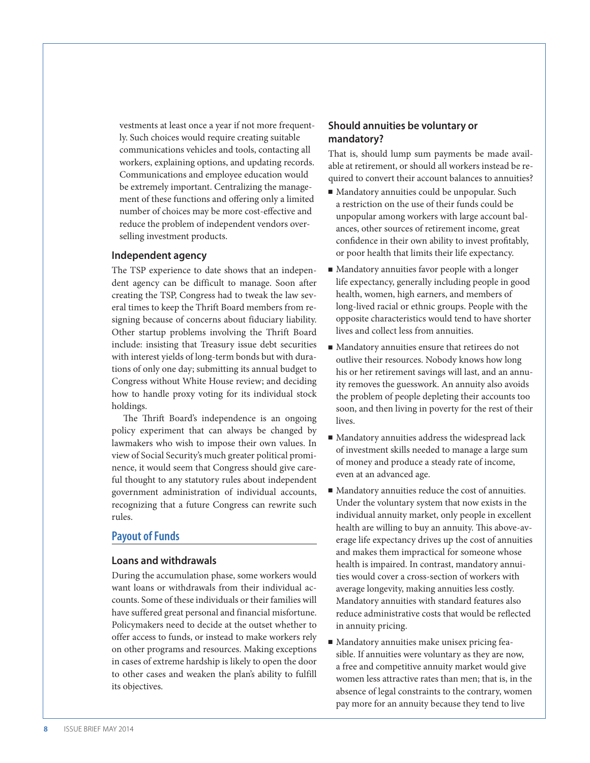vestments at least once a year if not more frequently. Such choices would require creating suitable communications vehicles and tools, contacting all workers, explaining options, and updating records. Communications and employee education would be extremely important. Centralizing the management of these functions and offering only a limited number of choices may be more cost-effective and reduce the problem of independent vendors overselling investment products.

#### **Independent agency**

The TSP experience to date shows that an independent agency can be difficult to manage. Soon after creating the TSP, Congress had to tweak the law several times to keep the Thrift Board members from resigning because of concerns about fiduciary liability. Other startup problems involving the Thrift Board include: insisting that Treasury issue debt securities with interest yields of long-term bonds but with durations of only one day; submitting its annual budget to Congress without White House review; and deciding how to handle proxy voting for its individual stock holdings.

The Thrift Board's independence is an ongoing policy experiment that can always be changed by lawmakers who wish to impose their own values. In view of Social Security's much greater political prominence, it would seem that Congress should give careful thought to any statutory rules about independent government administration of individual accounts, recognizing that a future Congress can rewrite such rules.

#### **Payout of Funds**

#### **Loans and withdrawals**

During the accumulation phase, some workers would want loans or withdrawals from their individual accounts. Some of these individuals or their families will have suffered great personal and financial misfortune. Policymakers need to decide at the outset whether to offer access to funds, or instead to make workers rely on other programs and resources. Making exceptions in cases of extreme hardship is likely to open the door to other cases and weaken the plan's ability to fulfill its objectives.

#### **Should annuities be voluntary or mandatory?**

That is, should lump sum payments be made available at retirement, or should all workers instead be required to convert their account balances to annuities?

- <sup>n</sup> Mandatory annuities could be unpopular. Such a restriction on the use of their funds could be unpopular among workers with large account balances, other sources of retirement income, great confidence in their own ability to invest profitably, or poor health that limits their life expectancy.
- $\blacksquare$  Mandatory annuities favor people with a longer life expectancy, generally including people in good health, women, high earners, and members of long-lived racial or ethnic groups. People with the opposite characteristics would tend to have shorter lives and collect less from annuities.
- <sup>n</sup> Mandatory annuities ensure that retirees do not outlive their resources. Nobody knows how long his or her retirement savings will last, and an annuity removes the guesswork. An annuity also avoids the problem of people depleting their accounts too soon, and then living in poverty for the rest of their lives.
- Mandatory annuities address the widespread lack of investment skills needed to manage a large sum of money and produce a steady rate of income, even at an advanced age.
- $\blacksquare$  Mandatory annuities reduce the cost of annuities. Under the voluntary system that now exists in the individual annuity market, only people in excellent health are willing to buy an annuity. This above-average life expectancy drives up the cost of annuities and makes them impractical for someone whose health is impaired. In contrast, mandatory annuities would cover a cross-section of workers with average longevity, making annuities less costly. Mandatory annuities with standard features also reduce administrative costs that would be reflected in annuity pricing.
- Mandatory annuities make unisex pricing feasible. If annuities were voluntary as they are now, a free and competitive annuity market would give women less attractive rates than men; that is, in the absence of legal constraints to the contrary, women pay more for an annuity because they tend to live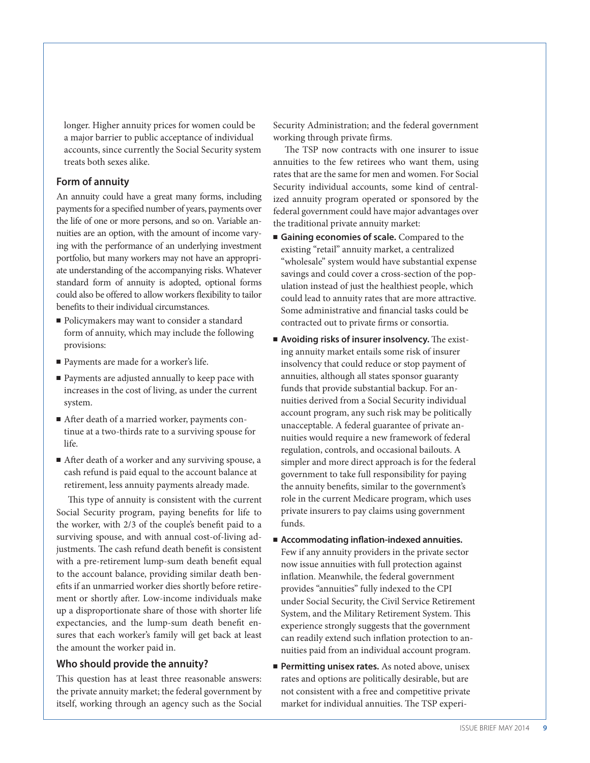longer. Higher annuity prices for women could be a major barrier to public acceptance of individual accounts, since currently the Social Security system treats both sexes alike.

#### **Form of annuity**

An annuity could have a great many forms, including payments for a specified number of years, payments over the life of one or more persons, and so on. Variable annuities are an option, with the amount of income varying with the performance of an underlying investment portfolio, but many workers may not have an appropriate understanding of the accompanying risks. Whatever standard form of annuity is adopted, optional forms could also be offered to allow workers flexibility to tailor benefits to their individual circumstances.

- Policymakers may want to consider a standard form of annuity, which may include the following provisions:
- Payments are made for a worker's life.
- Payments are adjusted annually to keep pace with increases in the cost of living, as under the current system.
- After death of a married worker, payments continue at a two-thirds rate to a surviving spouse for life.
- After death of a worker and any surviving spouse, a cash refund is paid equal to the account balance at retirement, less annuity payments already made.

This type of annuity is consistent with the current Social Security program, paying benefits for life to the worker, with 2/3 of the couple's benefit paid to a surviving spouse, and with annual cost-of-living adjustments. The cash refund death benefit is consistent with a pre-retirement lump-sum death benefit equal to the account balance, providing similar death benefits if an unmarried worker dies shortly before retirement or shortly after. Low-income individuals make up a disproportionate share of those with shorter life expectancies, and the lump-sum death benefit ensures that each worker's family will get back at least the amount the worker paid in.

#### **Who should provide the annuity?**

This question has at least three reasonable answers: the private annuity market; the federal government by itself, working through an agency such as the Social

Security Administration; and the federal government working through private firms.

The TSP now contracts with one insurer to issue annuities to the few retirees who want them, using rates that are the same for men and women. For Social Security individual accounts, some kind of centralized annuity program operated or sponsored by the federal government could have major advantages over the traditional private annuity market:

- Gaining economies of scale. Compared to the existing "retail" annuity market, a centralized "wholesale" system would have substantial expense savings and could cover a cross-section of the population instead of just the healthiest people, which could lead to annuity rates that are more attractive. Some administrative and financial tasks could be contracted out to private firms or consortia.
- <sup>n</sup> **Avoiding risks of insurer insolvency.** The existing annuity market entails some risk of insurer insolvency that could reduce or stop payment of annuities, although all states sponsor guaranty funds that provide substantial backup. For annuities derived from a Social Security individual account program, any such risk may be politically unacceptable. A federal guarantee of private annuities would require a new framework of federal regulation, controls, and occasional bailouts. A simpler and more direct approach is for the federal government to take full responsibility for paying the annuity benefits, similar to the government's role in the current Medicare program, which uses private insurers to pay claims using government funds.
- Accommodating inflation-indexed annuities. Few if any annuity providers in the private sector now issue annuities with full protection against inflation. Meanwhile, the federal government provides "annuities" fully indexed to the CPI under Social Security, the Civil Service Retirement System, and the Military Retirement System. This experience strongly suggests that the government can readily extend such inflation protection to annuities paid from an individual account program.
- **Permitting unisex rates.** As noted above, unisex rates and options are politically desirable, but are not consistent with a free and competitive private market for individual annuities. The TSP experi-